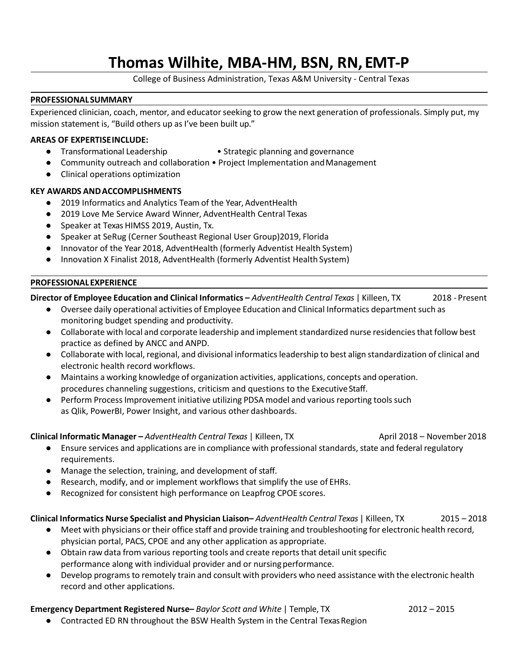# **Thomas Wilhite, MBA-HM, BSN, RN, EMT-P**

College of Business Administration, Texas A&M University - Central Texas

#### **PROFESSIONALSUMMARY**

Experienced clinician, coach, mentor, and educator seeking to grow the next generation of professionals. Simply put, my mission statement is, "Build others up as I've been built up."

## **AREAS OF EXPERTISEINCLUDE:**

- Transformational Leadership Strategic planning and governance
- Community outreach and collaboration Project Implementation and Management
- Clinical operations optimization

## **KEY AWARDS ANDACCOMPLISHMENTS**

- 2019 Informatics and Analytics Team of the Year, AdventHealth
- 2019 Love Me Service Award Winner, AdventHealth Central Texas
- Speaker at Texas HIMSS 2019, Austin, Tx.
- Speaker at SeRug (Cerner Southeast Regional User Group)2019, Florida
- Innovator of the Year 2018, AdventHealth (formerly Adventist Health System)
- Innovation X Finalist 2018, AdventHealth (formerly Adventist Health System)

## **PROFESSIONALEXPERIENCE**

# **Director of Employee Education and Clinical Informatics –** *AdventHealth Central Texas* | Killeen, TX 2018 - Present

- Oversee daily operational activities of Employee Education and Clinical Informatics department such as monitoring budget spending and productivity.
- Collaborate with local and corporate leadership and implement standardized nurse residencies that follow best practice as defined by ANCC and ANPD.
- Collaborate with local, regional, and divisional informaticsleadership to best align standardization of clinical and electronic health record workflows.
- Maintains a working knowledge of organization activities, applications, concepts and operation. procedures channeling suggestions, criticism and questions to the ExecutiveStaff.
- Perform Process Improvement initiative utilizing PDSA model and various reporting tools such as Qlik, PowerBI, Power Insight, and various other dashboards.

## **Clinical Informatic Manager –** *AdventHealth Central Texas* | Killeen, TX April 2018 – November2018

- Ensure services and applications are in compliance with professional standards, state and federal regulatory requirements.
- Manage the selection, training, and development of staff.
- Research, modify, and or implement workflows that simplify the use of EHRs.
- Recognized for consistent high performance on Leapfrog CPOE scores.

## **Clinical Informatics Nurse Specialist and Physician Liaison–** *AdventHealth Central Texas* | Killeen, TX 2015 – 2018

- Meet with physicians or their office staff and provide training and troubleshooting for electronic health record, physician portal, PACS, CPOE and any other application as appropriate.
- Obtain raw data from various reporting tools and create reports that detail unit specific performance along with individual provider and or nursingperformance.
- Develop programs to remotely train and consult with providers who need assistance with the electronic health record and other applications.

# **Emergency Department Registered Nurse–** *Baylor Scott and White* | Temple, TX 2012 – 2015

- 
- Contracted ED RN throughout the BSW Health System in the Central Texas Region